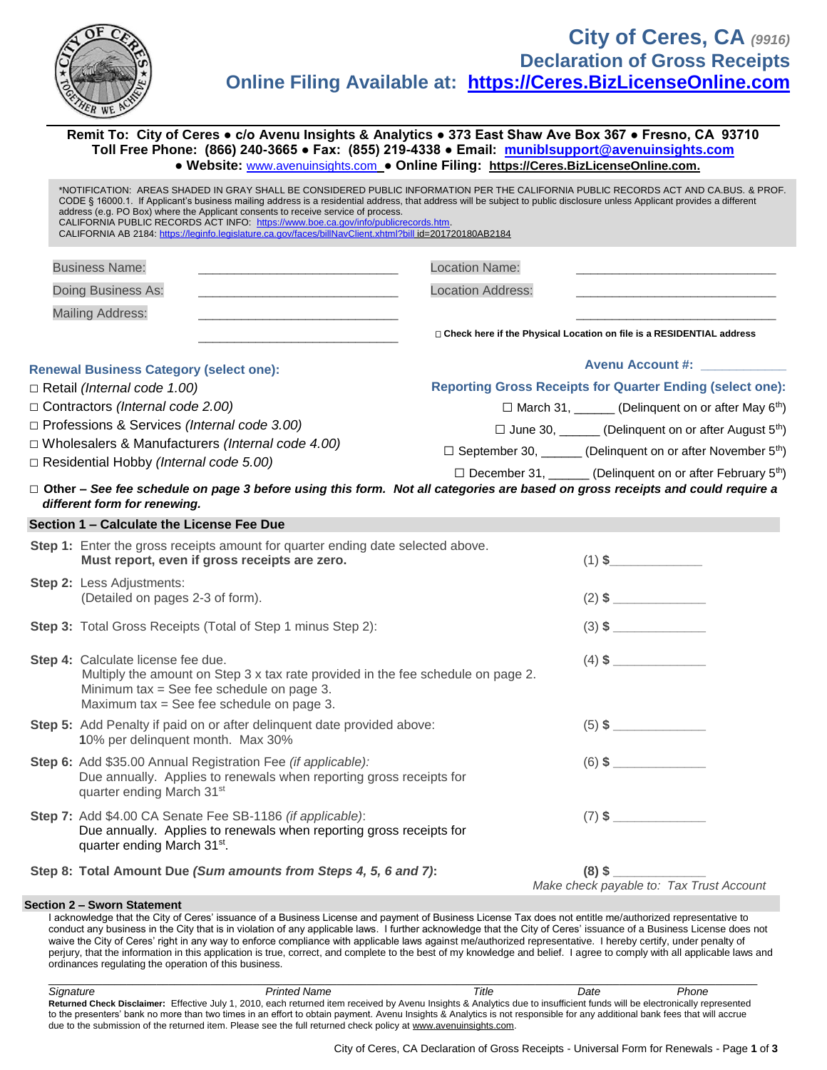

**Remit To: City of Ceres ● c/o Avenu Insights & Analytics ● 373 East Shaw Ave Box 367 ● Fresno, CA 93710 Toll Free Phone: (866) 240-3665 ● Fax: (855) 219-4338 ● Email: [muniblsupport@avenuinsights.com](mailto:muniblsupport@avenuinsights.com) ● Website:** [www.avenuinsights.com](http://www.avenuinsights.com/) **● Online Filing: [https://Ceres.BizLicenseOnline.com.](https://ceres.bizlicenseonline.com/)**

| address (e.g. PO Box) where the Applicant consents to receive service of process.<br>CALIFORNIA PUBLIC RECORDS ACT INFO: https://www.boe.ca.gov/info/publicrecords.htm.<br>CALIFORNIA AB 2184: https://leginfo.legislature.ca.gov/faces/billNavClient.xhtml?bill_id=201720180AB2184 | *NOTIFICATION: AREAS SHADED IN GRAY SHALL BE CONSIDERED PUBLIC INFORMATION PER THE CALIFORNIA PUBLIC RECORDS ACT AND CA.BUS. & PROF.<br>CODE § 16000.1. If Applicant's business mailing address is a residential address, that address will be subject to public disclosure unless Applicant provides a different |  |
|-------------------------------------------------------------------------------------------------------------------------------------------------------------------------------------------------------------------------------------------------------------------------------------|-------------------------------------------------------------------------------------------------------------------------------------------------------------------------------------------------------------------------------------------------------------------------------------------------------------------|--|
| <b>Business Name:</b><br>the control of the control of the control of the control of the control of                                                                                                                                                                                 | <b>Location Name:</b>                                                                                                                                                                                                                                                                                             |  |
| Doing Business As:                                                                                                                                                                                                                                                                  | <b>Location Address:</b>                                                                                                                                                                                                                                                                                          |  |
| <b>Mailing Address:</b><br><u> 1980 - Jan Barnett, fransk politiker (d. 1980)</u>                                                                                                                                                                                                   |                                                                                                                                                                                                                                                                                                                   |  |
| <u> 1989 - Johann John Stone, mars et al. 1989 - John Stone, mars et al. 1989 - John Stone, mars et al. 1989 - John Stone</u>                                                                                                                                                       | □ Check here if the Physical Location on file is a RESIDENTIAL address                                                                                                                                                                                                                                            |  |
|                                                                                                                                                                                                                                                                                     | Avenu Account #: ____________                                                                                                                                                                                                                                                                                     |  |
| <b>Renewal Business Category (select one):</b>                                                                                                                                                                                                                                      |                                                                                                                                                                                                                                                                                                                   |  |
| $\Box$ Retail (Internal code 1.00)<br>$\Box$ Contractors (Internal code 2.00)                                                                                                                                                                                                       | <b>Reporting Gross Receipts for Quarter Ending (select one):</b>                                                                                                                                                                                                                                                  |  |
| □ Professions & Services (Internal code 3.00)                                                                                                                                                                                                                                       | □ March 31, ______ (Delinquent on or after May 6 <sup>th</sup> )                                                                                                                                                                                                                                                  |  |
| □ Wholesalers & Manufacturers (Internal code 4.00)                                                                                                                                                                                                                                  | □ June 30, ______ (Delinquent on or after August 5 <sup>th</sup> )                                                                                                                                                                                                                                                |  |
| $\Box$ Residential Hobby (Internal code 5.00)                                                                                                                                                                                                                                       | $\Box$ September 30, _______ (Delinquent on or after November 5 <sup>th</sup> )                                                                                                                                                                                                                                   |  |
| different form for renewing.                                                                                                                                                                                                                                                        | $\Box$ December 31, _______ (Delinquent on or after February 5 <sup>th</sup> )<br>□ Other – See fee schedule on page 3 before using this form. Not all categories are based on gross receipts and could require a                                                                                                 |  |
| Section 1 - Calculate the License Fee Due                                                                                                                                                                                                                                           |                                                                                                                                                                                                                                                                                                                   |  |
| Step 1: Enter the gross receipts amount for quarter ending date selected above.<br>Must report, even if gross receipts are zero.                                                                                                                                                    | $(1)$ \$                                                                                                                                                                                                                                                                                                          |  |
| Step 2: Less Adjustments:<br>(Detailed on pages 2-3 of form).                                                                                                                                                                                                                       | $(2)$ \$                                                                                                                                                                                                                                                                                                          |  |
| Step 3: Total Gross Receipts (Total of Step 1 minus Step 2):                                                                                                                                                                                                                        |                                                                                                                                                                                                                                                                                                                   |  |
| <b>Step 4: Calculate license fee due.</b><br>Multiply the amount on Step 3 x tax rate provided in the fee schedule on page 2.<br>Minimum tax = See fee schedule on page 3.<br>Maximum tax = See fee schedule on page 3.                                                             |                                                                                                                                                                                                                                                                                                                   |  |
| Step 5: Add Penalty if paid on or after delinquent date provided above:<br>10% per delinquent month. Max 30%                                                                                                                                                                        | $(5)$ \$                                                                                                                                                                                                                                                                                                          |  |
| Step 6: Add \$35.00 Annual Registration Fee (if applicable):<br>Due annually. Applies to renewals when reporting gross receipts for<br>quarter ending March 31st                                                                                                                    | $(6)$ \$                                                                                                                                                                                                                                                                                                          |  |
| Step 7: Add \$4.00 CA Senate Fee SB-1186 (if applicable):<br>Due annually. Applies to renewals when reporting gross receipts for<br>quarter ending March 31 <sup>st</sup> .                                                                                                         |                                                                                                                                                                                                                                                                                                                   |  |
| Step 8: Total Amount Due (Sum amounts from Steps 4, 5, 6 and 7):                                                                                                                                                                                                                    | $(8)$ \$                                                                                                                                                                                                                                                                                                          |  |
|                                                                                                                                                                                                                                                                                     | Make check payable to: Tax Trust Account                                                                                                                                                                                                                                                                          |  |
| Section 2 - Sworn Statement                                                                                                                                                                                                                                                         |                                                                                                                                                                                                                                                                                                                   |  |

I acknowledge that the City of Ceres' issuance of a Business License and payment of Business License Tax does not entitle me/authorized representative to conduct any business in the City that is in violation of any applicable laws. I further acknowledge that the City of Ceres' issuance of a Business License does not waive the City of Ceres' right in any way to enforce compliance with applicable laws against me/authorized representative. I hereby certify, under penalty of perjury, that the information in this application is true, correct, and complete to the best of my knowledge and belief. I agree to comply with all applicable laws and ordinances regulating the operation of this business.

 $\_$  ,  $\_$  ,  $\_$  ,  $\_$  ,  $\_$  ,  $\_$  ,  $\_$  ,  $\_$  ,  $\_$  ,  $\_$  ,  $\_$  ,  $\_$  ,  $\_$  ,  $\_$  ,  $\_$  ,  $\_$  ,  $\_$  ,  $\_$  ,  $\_$  ,  $\_$  ,  $\_$  ,  $\_$  ,  $\_$  ,  $\_$  ,  $\_$  ,  $\_$  ,  $\_$  ,  $\_$  ,  $\_$  ,  $\_$  ,  $\_$  ,  $\_$  ,  $\_$  ,  $\_$  ,  $\_$  ,  $\_$  ,  $\_$  , *Signature Printed Name Title Date Phone* **Returned Check Disclaimer:** Effective July 1, 2010, each returned item received by Avenu Insights & Analytics due to insufficient funds will be electronically represented to the presenters' bank no more than two times in an effort to obtain payment. Avenu Insights & Analytics is not responsible for any additional bank fees that will accrue due to the submission of the returned item. Please see the full returned check policy at www.avenuinsights.com.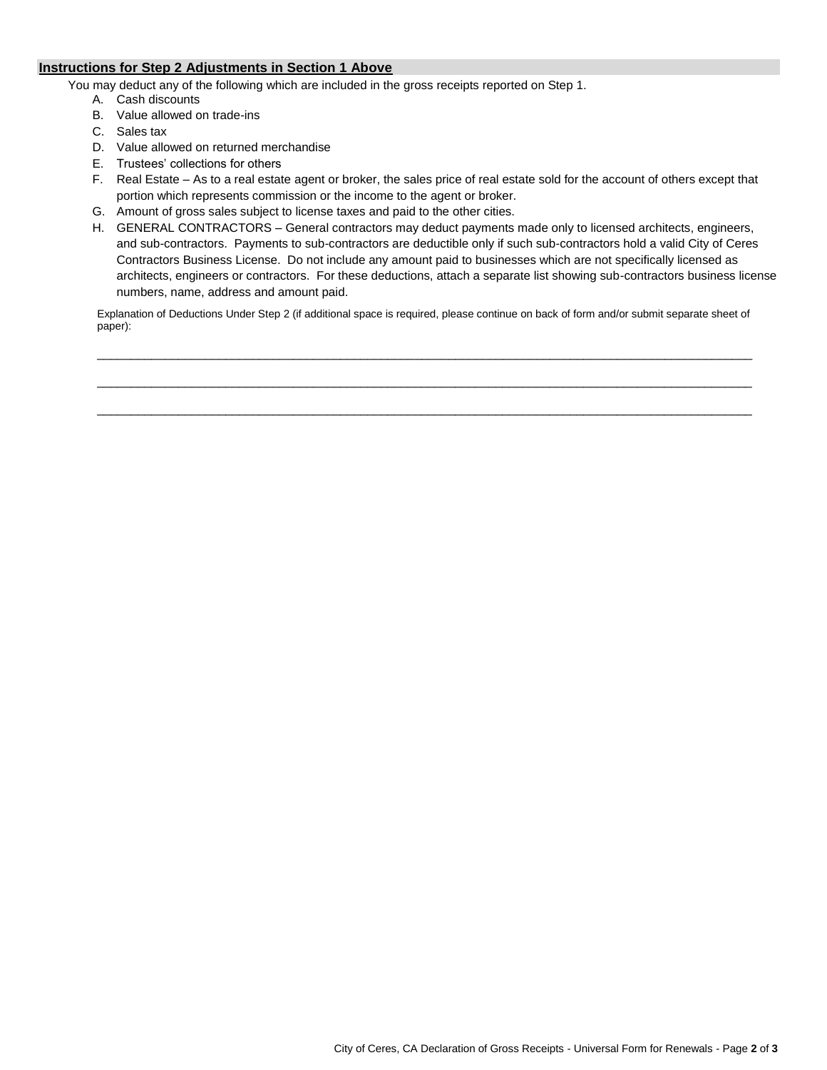## **Instructions for Step 2 Adjustments in Section 1 Above**

You may deduct any of the following which are included in the gross receipts reported on Step 1.

- A. Cash discounts
- B. Value allowed on trade-ins
- C. Sales tax
- D. Value allowed on returned merchandise
- E. Trustees' collections for others
- F. Real Estate As to a real estate agent or broker, the sales price of real estate sold for the account of others except that portion which represents commission or the income to the agent or broker.
- G. Amount of gross sales subject to license taxes and paid to the other cities.
- H. GENERAL CONTRACTORS General contractors may deduct payments made only to licensed architects, engineers, and sub-contractors. Payments to sub-contractors are deductible only if such sub-contractors hold a valid City of Ceres Contractors Business License. Do not include any amount paid to businesses which are not specifically licensed as architects, engineers or contractors. For these deductions, attach a separate list showing sub-contractors business license numbers, name, address and amount paid.

Explanation of Deductions Under Step 2 (if additional space is required, please continue on back of form and/or submit separate sheet of paper):

 $\mathcal{L}_\mathcal{L} = \{ \mathcal{L}_\mathcal{L} = \{ \mathcal{L}_\mathcal{L} = \{ \mathcal{L}_\mathcal{L} = \{ \mathcal{L}_\mathcal{L} = \{ \mathcal{L}_\mathcal{L} = \{ \mathcal{L}_\mathcal{L} = \{ \mathcal{L}_\mathcal{L} = \{ \mathcal{L}_\mathcal{L} = \{ \mathcal{L}_\mathcal{L} = \{ \mathcal{L}_\mathcal{L} = \{ \mathcal{L}_\mathcal{L} = \{ \mathcal{L}_\mathcal{L} = \{ \mathcal{L}_\mathcal{L} = \{ \mathcal{L}_\mathcal{$ 

 $\Box$ 

 $\Box$